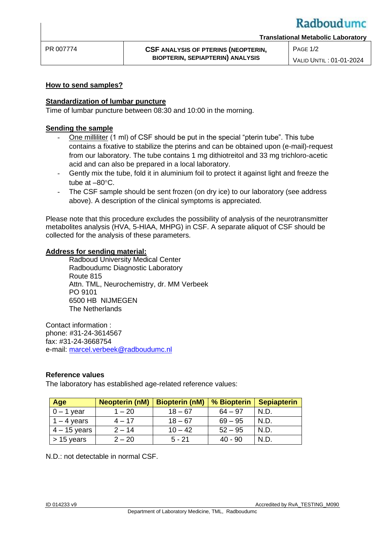# Radboudumc

### **How to send samples?**

### **Standardization of lumbar puncture**

Time of lumbar puncture between 08:30 and 10:00 in the morning.

### **Sending the sample**

- One milliliter (1 ml) of CSF should be put in the special "pterin tube". This tube contains a fixative to stabilize the pterins and can be obtained upon (e-mail)-request from our laboratory. The tube contains 1 mg dithiotreitol and 33 mg trichloro-acetic acid and can also be prepared in a local laboratory.
- Gently mix the tube, fold it in aluminium foil to protect it against light and freeze the tube at  $-80^{\circ}$ C.
- The CSF sample should be sent frozen (on dry ice) to our laboratory (see address above). A description of the clinical symptoms is appreciated.

Please note that this procedure excludes the possibility of analysis of the neurotransmitter metabolites analysis (HVA, 5-HIAA, MHPG) in CSF. A separate aliquot of CSF should be collected for the analysis of these parameters.

#### **Address for sending material:**

Radboud University Medical Center Radboudumc Diagnostic Laboratory Route 815 Attn. TML, Neurochemistry, dr. MM Verbeek PO 9101 6500 HB NIJMEGEN The Netherlands

Contact information : phone: #31-24-3614567 fax: #31-24-3668754 e-mail: [marcel.verbeek@radboudumc.nl](mailto:marcel.verbeek@radboudumc.nl)

### **Reference values**

The laboratory has established age-related reference values:

| Age            | <b>Neopterin (nM)</b> | <b>Biopterin (nM)</b> | % Biopterin | <b>Sepiapterin</b> |
|----------------|-----------------------|-----------------------|-------------|--------------------|
| $0 - 1$ year   | 1 – 20                | $18 - 67$             | $64 - 97$   | N.D.               |
| $1 - 4$ years  | $4 - 17$              | $18 - 67$             | $69 - 95$   | N.D.               |
| $4 - 15$ years | $2 - 14$              | $10 - 42$             | $52 - 95$   | N.D.               |
| $> 15$ years   | $2 - 20$              | $5 - 21$              | $40 - 90$   | N.D.               |

N.D.: not detectable in normal CSF.